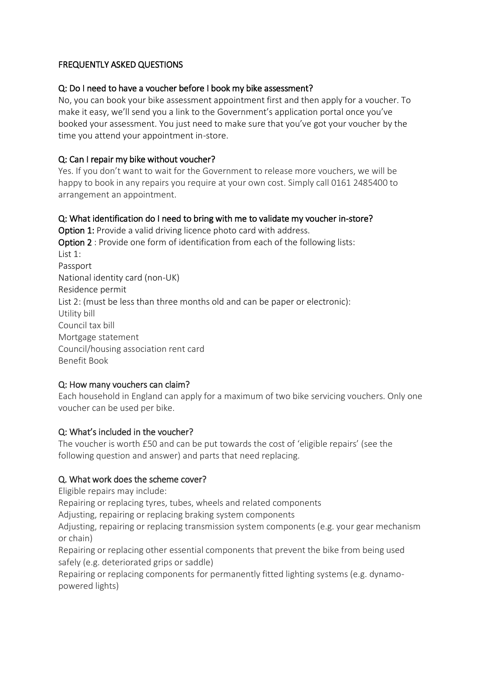## FREQUENTLY ASKED QUESTIONS

### Q: Do I need to have a voucher before I book my bike assessment?

No, you can book your bike assessment appointment first and then apply for a voucher. To make it easy, we'll send you a link to the Government's application portal once you've booked your assessment. You just need to make sure that you've got your voucher by the time you attend your appointment in-store.

### Q: Can I repair my bike without voucher?

Yes. If you don't want to wait for the Government to release more vouchers, we will be happy to book in any repairs you require at your own cost. Simply call 0161 2485400 to arrangement an appointment.

## Q: What identification do I need to bring with me to validate my voucher in-store?

Option 1: Provide a valid driving licence photo card with address. Option 2 : Provide one form of identification from each of the following lists:  $list 1$ Passport National identity card (non-UK) Residence permit List 2: (must be less than three months old and can be paper or electronic): Utility bill Council tax bill Mortgage statement Council/housing association rent card Benefit Book

### Q: How many vouchers can claim?

Each household in England can apply for a maximum of two bike servicing vouchers. Only one voucher can be used per bike.

### Q: What's included in the voucher?

The voucher is worth £50 and can be put towards the cost of 'eligible repairs' (see the following question and answer) and parts that need replacing.

### Q. What work does the scheme cover?

Eligible repairs may include:

Repairing or replacing tyres, tubes, wheels and related components

Adjusting, repairing or replacing braking system components

Adjusting, repairing or replacing transmission system components (e.g. your gear mechanism or chain)

Repairing or replacing other essential components that prevent the bike from being used safely (e.g. deteriorated grips or saddle)

Repairing or replacing components for permanently fitted lighting systems (e.g. dynamopowered lights)